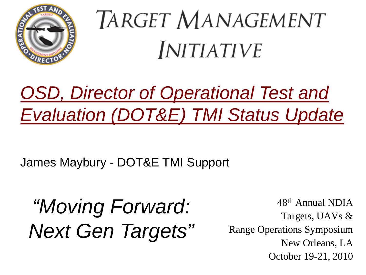

# TARGET MANAGEMENT **INITIATIVE**

### *OSD, Director of Operational Test and Evaluation (DOT&E) TMI Status Update TMI*

James Maybury - DOT&E TMI Support

*"Moving Forward: Next* Gen Targets" Range Operations Symposium<br>New Orleans, LA

48th Annual NDIA Targets, UAVs & Range Operations Symposium October 19-21, 2010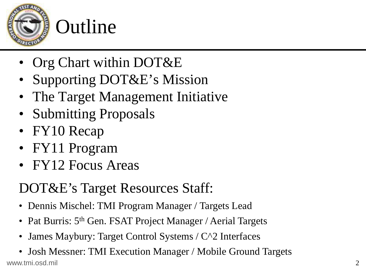

### Outline

- Org Chart within DOT&E
- Supporting DOT&E's Mission
- The Target Management Initiative
- Submitting Proposals
- FY10 Recap
- FY11 Program
- FY12 Focus Areas

### DOT&E's Target Resources Staff:

- •Dennis Mischel: TMI Program Manager / Targets Lead
- •Pat Burris: 5<sup>th</sup> Gen. FSAT Project Manager / Aerial Targets
- •• James Maybury: Target Control Systems /  $C^{\wedge}2$  Interfaces
- www.tmi.osd.mil $\overline{2}$ • Josh Messner: TMI Execution Manager / Mobile Ground Targets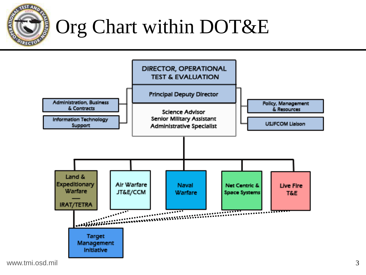

### Org Chart within DOT&E



www.tmi.osd.mil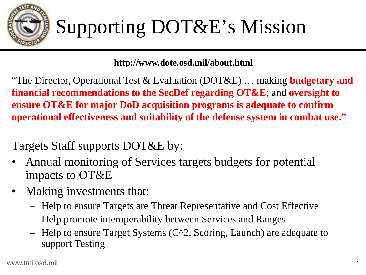

#### **http://www.dote.osd.mil/about.html**

"The Director, Operational Test & Evaluation (DOT&E) … making **budgetary and financial recommendations to the SecDef regarding OT&E**; and **oversight to ensure OT&E for major DoD acquisition programs is adequate to confirm**  operational effectiveness and suitability of the defense system in combat use."

Targets Staff supports DOT&E by:

- • Annual monitoring of Services targets budgets for potential impacts to OT&E
- Makin g investments that:
	- Help to ensure Targets are Threat Representative and Cost Effective
	- Help promote interoperability between Services and Ranges
	- Help to ensure Target Systems (C^2, Scoring, Launch) are adequate to support Testing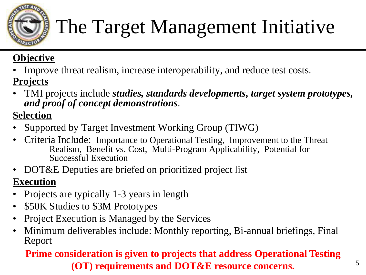

## The Target Management Initiative

#### **Objective**

•Improve threat realism, increase interoperability, and reduce test costs.

#### **<u>Projects</u>**

• TMI projects include *studies, standards developments, target system prototypes, and proof of concept demonstrations*.

#### **Selection**

- •Supported by Target Investment Working Group (TIWG)
- • Criteria Include: Importance to Operational Testing, Improvement to the Threat Realism, Benefit vs. Cost, Multi-Program Applicability, Potential for Successful Execution
- •DOT&E Deputies are briefed on prioritized project list

#### **Execution**

- •• Projects are typically 1-3 years in length
- •\$50K Studies to \$3M Prototypes
- •Project Execution is Managed by the Services
- •Minimum deliverables include: Monthly reporting, Bi-annual briefings, Final Report

#### **Prime consideration is given to projects that address Operational Testing (OT) requirements and DOT&E resource concerns.**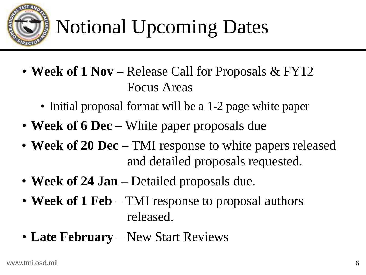

## Notional Upcoming Dates

- **Week of 1 Nov** Release Call for Proposals & FY12 Focus Areas
	- Initial proposal format will be a 1-2 page white paper
- **Week of 6 Dec**  White paper proposals due
- **Week of 20 Dec**  TMI response to white papers released and detailed proposals requested.
- **Week of 24 Jan**  Detailed proposals due.
- Week of 1 Feb TMI response to proposal authors released.
- Late February New Start Reviews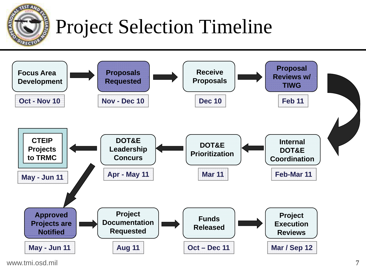

### Project Selection Timeline



www.tmi.osd.mil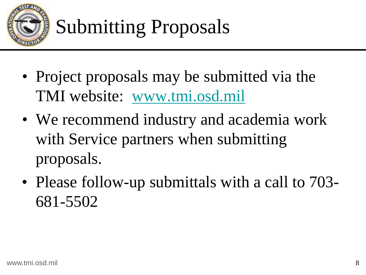

- Project proposals may be submitted via the TMI website: www.tmi.osd.mil
- We recommend industry and academia work with Service partners when submitting proposals.
- Please follow-up submittals with a call to 703- 681-5502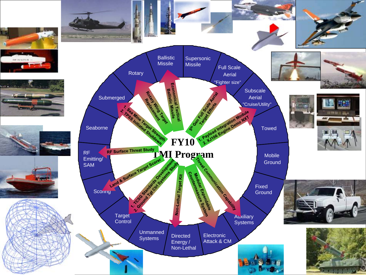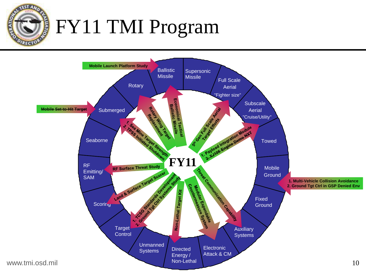**Olivin** 

### FY11 TMI Program

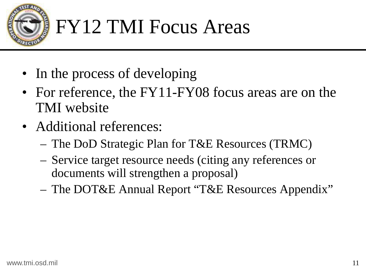

### FY12 TMI Focus Areas

- In the process of developing
- For reference, the FY11-FY08 focus areas are on the TMI website
- Additional references:
	- –The DoD Strategic Plan for T&E Resources (TRMC)
	- –- Service target resource needs (citing any references or documents will strengthen a proposal)
	- –The DOT&E Annual Report "T&E Resources Appendix"